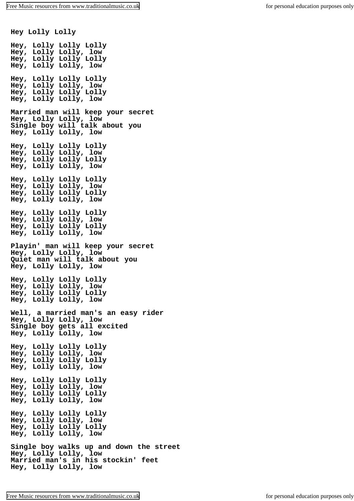**Hey Lolly Lolly Hey, Lolly Lolly Lolly Hey, Lolly Lolly, low Hey, Lolly Lolly Lolly Hey, Lolly Lolly, low Hey, Lolly Lolly Lolly Hey, Lolly Lolly, low Hey, Lolly Lolly Lolly Hey, Lolly Lolly, low Married man will keep your secret Hey, Lolly Lolly, low Single boy will talk about you Hey, Lolly Lolly, low Hey, Lolly Lolly Lolly Hey, Lolly Lolly, low Hey, Lolly Lolly Lolly Hey, Lolly Lolly, low Hey, Lolly Lolly Lolly Hey, Lolly Lolly, low Hey, Lolly Lolly Lolly Hey, Lolly Lolly, low Hey, Lolly Lolly Lolly Hey, Lolly Lolly, low Hey, Lolly Lolly Lolly Hey, Lolly Lolly, low Playin' man will keep your secret Hey, Lolly Lolly, low Quiet man will talk about you Hey, Lolly Lolly, low Hey, Lolly Lolly Lolly Hey, Lolly Lolly, low Hey, Lolly Lolly Lolly Hey, Lolly Lolly, low Well, a married man's an easy rider Hey, Lolly Lolly, low Single boy gets all excited Hey, Lolly Lolly, low Hey, Lolly Lolly Lolly Hey, Lolly Lolly, low Hey, Lolly Lolly Lolly Hey, Lolly Lolly, low Hey, Lolly Lolly Lolly Hey, Lolly Lolly, low Hey, Lolly Lolly Lolly Hey, Lolly Lolly, low Hey, Lolly Lolly Lolly Hey, Lolly Lolly, low Hey, Lolly Lolly Lolly Hey, Lolly Lolly, low Single boy walks up and down the street Hey, Lolly Lolly, low Married man's in his stockin' feet Hey, Lolly Lolly, low**